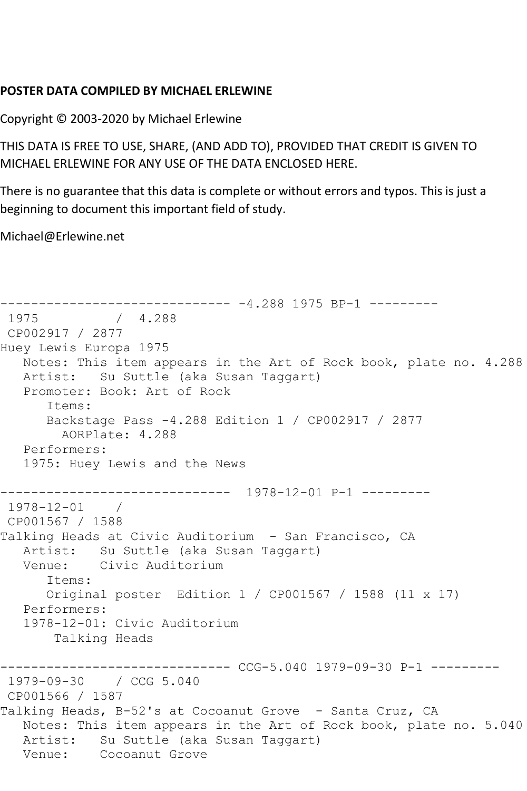## **POSTER DATA COMPILED BY MICHAEL ERLEWINE**

Copyright © 2003-2020 by Michael Erlewine

THIS DATA IS FREE TO USE, SHARE, (AND ADD TO), PROVIDED THAT CREDIT IS GIVEN TO MICHAEL ERLEWINE FOR ANY USE OF THE DATA ENCLOSED HERE.

There is no guarantee that this data is complete or without errors and typos. This is just a beginning to document this important field of study.

Michael@Erlewine.net

```
------------------------------ -4.288 1975 BP-1 ---------
             / 4.288CP002917 / 2877
Huey Lewis Europa 1975
   Notes: This item appears in the Art of Rock book, plate no. 4.288
   Artist: Su Suttle (aka Susan Taggart)
   Promoter: Book: Art of Rock
      Items:
      Backstage Pass -4.288 Edition 1 / CP002917 / 2877
        AORPlate: 4.288 
   Performers:
   1975: Huey Lewis and the News
 ------------------------------ 1978-12-01 P-1 ---------
1978-12-01 / 
CP001567 / 1588
Talking Heads at Civic Auditorium - San Francisco, CA
   Artist: Su Suttle (aka Susan Taggart)
   Venue: Civic Auditorium
      Items:
      Original poster Edition 1 / CP001567 / 1588 (11 x 17)
   Performers:
   1978-12-01: Civic Auditorium
       Talking Heads
                        ------ CCG-5.040 1979-09-30 P-1 ---------
1979-09-30 / CCG 5.040
CP001566 / 1587
Talking Heads, B-52's at Cocoanut Grove - Santa Cruz, CA
   Notes: This item appears in the Art of Rock book, plate no. 5.040
   Artist: Su Suttle (aka Susan Taggart)
   Venue: Cocoanut Grove
```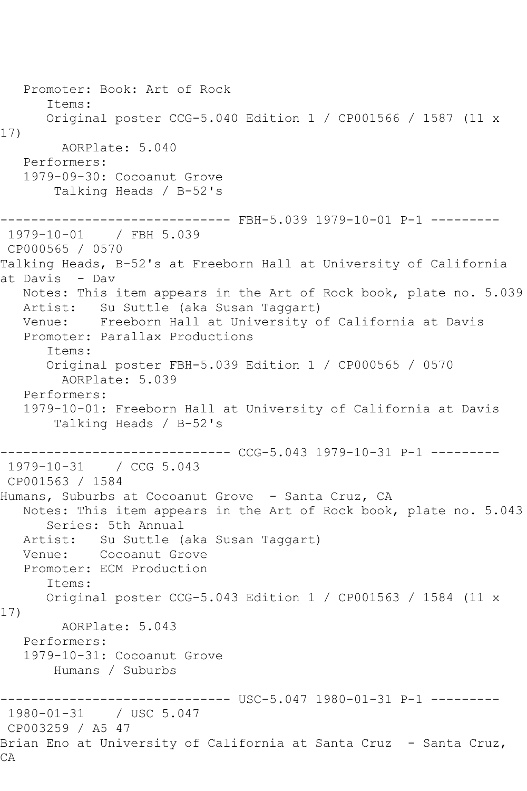Promoter: Book: Art of Rock Items: Original poster CCG-5.040 Edition 1 / CP001566 / 1587 (11 x 17) AORPlate: 5.040 Performers: 1979-09-30: Cocoanut Grove Talking Heads / B-52's ------------------------------ FBH-5.039 1979-10-01 P-1 --------- 1979-10-01 / FBH 5.039 CP000565 / 0570 Talking Heads, B-52's at Freeborn Hall at University of California at Davis - Dav Notes: This item appears in the Art of Rock book, plate no. 5.039 Artist: Su Suttle (aka Susan Taggart) Venue: Freeborn Hall at University of California at Davis Promoter: Parallax Productions Items: Original poster FBH-5.039 Edition 1 / CP000565 / 0570 AORPlate: 5.039 Performers: 1979-10-01: Freeborn Hall at University of California at Davis Talking Heads / B-52's ------------------------------ CCG-5.043 1979-10-31 P-1 --------- 1979-10-31 / CCG 5.043 CP001563 / 1584 Humans, Suburbs at Cocoanut Grove - Santa Cruz, CA Notes: This item appears in the Art of Rock book, plate no. 5.043 Series: 5th Annual Artist: Su Suttle (aka Susan Taggart) Venue: Cocoanut Grove Promoter: ECM Production Items: Original poster CCG-5.043 Edition 1 / CP001563 / 1584 (11 x 17) AORPlate: 5.043 Performers: 1979-10-31: Cocoanut Grove Humans / Suburbs ------------------------------ USC-5.047 1980-01-31 P-1 --------- 1980-01-31 / USC 5.047 CP003259 / A5 47 Brian Eno at University of California at Santa Cruz - Santa Cruz, CA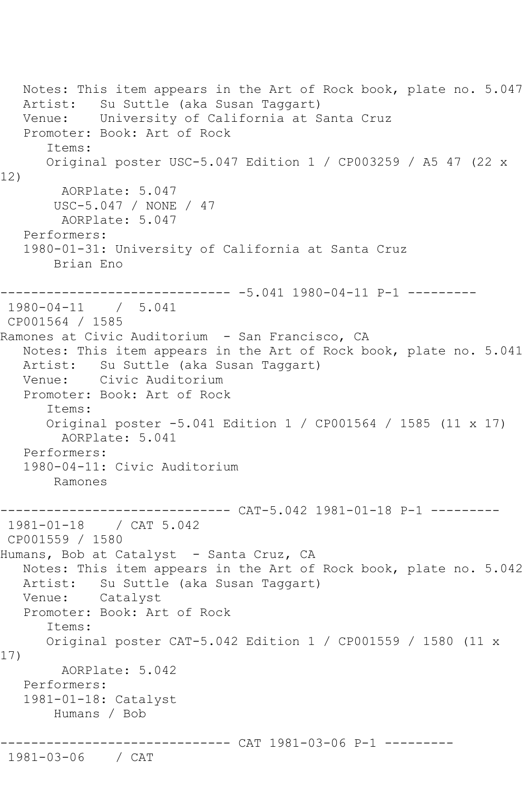```
 Notes: This item appears in the Art of Rock book, plate no. 5.047
   Artist: Su Suttle (aka Susan Taggart)
   Venue: University of California at Santa Cruz
   Promoter: Book: Art of Rock
       Items:
      Original poster USC-5.047 Edition 1 / CP003259 / A5 47 (22 x 
12)
        AORPlate: 5.047 
       USC-5.047 / NONE / 47
        AORPlate: 5.047 
   Performers:
   1980-01-31: University of California at Santa Cruz
        Brian Eno
 ------------------------------ -5.041 1980-04-11 P-1 ---------
1980-04-11 / 5.041
CP001564 / 1585
Ramones at Civic Auditorium - San Francisco, CA
   Notes: This item appears in the Art of Rock book, plate no. 5.041
   Artist: Su Suttle (aka Susan Taggart)
   Venue: Civic Auditorium
   Promoter: Book: Art of Rock
       Items:
       Original poster -5.041 Edition 1 / CP001564 / 1585 (11 x 17)
         AORPlate: 5.041 
   Performers:
   1980-04-11: Civic Auditorium
       Ramones
------------------------------ CAT-5.042 1981-01-18 P-1 ---------
1981-01-18 / CAT 5.042
CP001559 / 1580
Humans, Bob at Catalyst - Santa Cruz, CA
   Notes: This item appears in the Art of Rock book, plate no. 5.042
   Artist: Su Suttle (aka Susan Taggart)
   Venue: Catalyst
   Promoter: Book: Art of Rock
       Items:
      Original poster CAT-5.042 Edition 1 / CP001559 / 1580 (11 x 
17)
        AORPlate: 5.042 
   Performers:
   1981-01-18: Catalyst
       Humans / Bob
                   ------------------------------ CAT 1981-03-06 P-1 ---------
1981-03-06 / CAT
```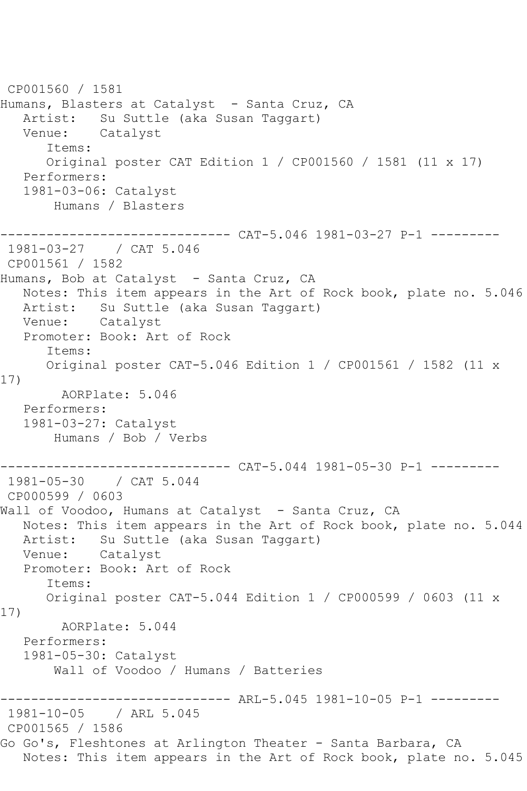CP001560 / 1581 Humans, Blasters at Catalyst - Santa Cruz, CA Artist: Su Suttle (aka Susan Taggart) Venue: Catalyst Items: Original poster CAT Edition 1 / CP001560 / 1581 (11 x 17) Performers: 1981-03-06: Catalyst Humans / Blasters ------------------------------ CAT-5.046 1981-03-27 P-1 --------- 1981-03-27 / CAT 5.046 CP001561 / 1582 Humans, Bob at Catalyst - Santa Cruz, CA Notes: This item appears in the Art of Rock book, plate no. 5.046 Artist: Su Suttle (aka Susan Taggart) Venue: Catalyst Promoter: Book: Art of Rock Items: Original poster CAT-5.046 Edition 1 / CP001561 / 1582 (11 x 17) AORPlate: 5.046 Performers: 1981-03-27: Catalyst Humans / Bob / Verbs ------------------------------ CAT-5.044 1981-05-30 P-1 --------- 1981-05-30 / CAT 5.044 CP000599 / 0603 Wall of Voodoo, Humans at Catalyst - Santa Cruz, CA Notes: This item appears in the Art of Rock book, plate no. 5.044 Artist: Su Suttle (aka Susan Taggart) Venue: Catalyst Promoter: Book: Art of Rock Items: Original poster CAT-5.044 Edition 1 / CP000599 / 0603 (11 x 17) AORPlate: 5.044 Performers: 1981-05-30: Catalyst Wall of Voodoo / Humans / Batteries ------------------------------ ARL-5.045 1981-10-05 P-1 --------- 1981-10-05 / ARL 5.045 CP001565 / 1586 Go Go's, Fleshtones at Arlington Theater - Santa Barbara, CA Notes: This item appears in the Art of Rock book, plate no. 5.045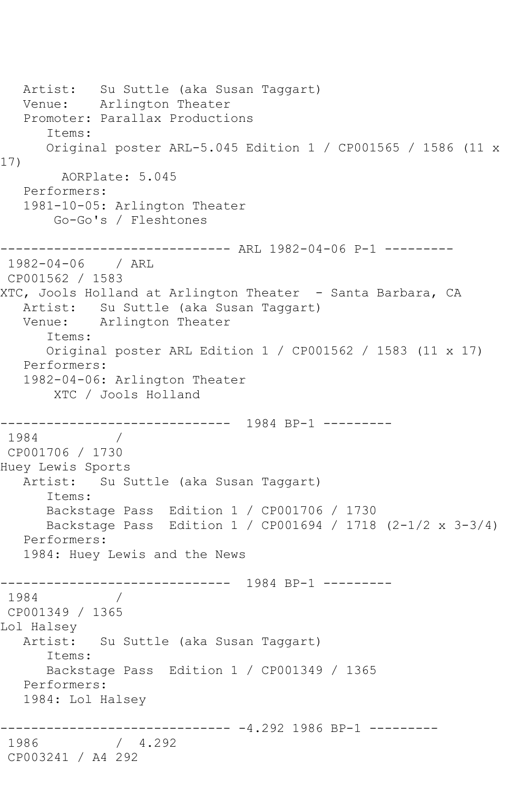```
 Artist: Su Suttle (aka Susan Taggart)
   Venue: Arlington Theater
   Promoter: Parallax Productions
      Items:
      Original poster ARL-5.045 Edition 1 / CP001565 / 1586 (11 x 
17)
        AORPlate: 5.045 
   Performers:
   1981-10-05: Arlington Theater
       Go-Go's / Fleshtones
       ------------------------------ ARL 1982-04-06 P-1 ---------
1982-04-06 / ARL 
CP001562 / 1583
XTC, Jools Holland at Arlington Theater - Santa Barbara, CA
   Artist: Su Suttle (aka Susan Taggart)
   Venue: Arlington Theater
      Items:
      Original poster ARL Edition 1 / CP001562 / 1583 (11 x 17)
   Performers:
   1982-04-06: Arlington Theater
       XTC / Jools Holland
------------------------------ 1984 BP-1 ---------
 1984 / 
 CP001706 / 1730
Huey Lewis Sports
   Artist: Su Suttle (aka Susan Taggart)
      Items:
      Backstage Pass Edition 1 / CP001706 / 1730
      Backstage Pass Edition 1 / CP001694 / 1718 (2-1/2 x 3-3/4)
   Performers:
   1984: Huey Lewis and the News
    ------------------------------ 1984 BP-1 ---------
1984 / 
CP001349 / 1365
Lol Halsey
   Artist: Su Suttle (aka Susan Taggart)
      Items:
      Backstage Pass Edition 1 / CP001349 / 1365
   Performers:
   1984: Lol Halsey
------------------------------ -4.292 1986 BP-1 ---------
             / 4.292CP003241 / A4 292
```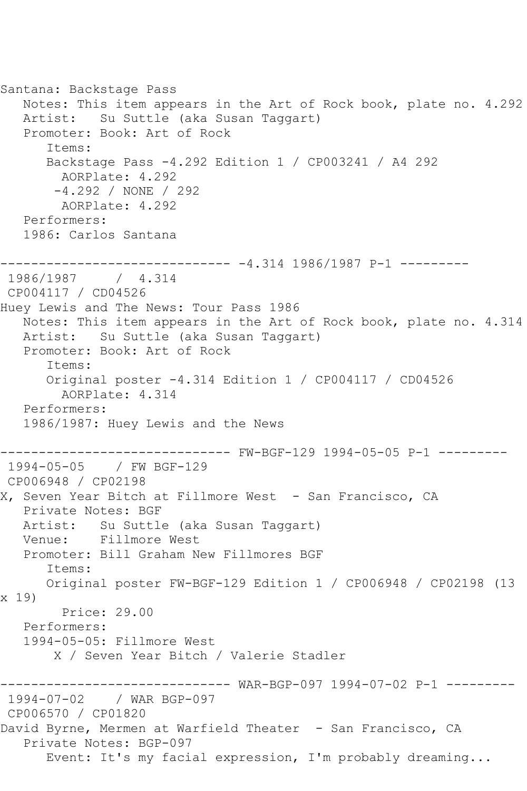Santana: Backstage Pass Notes: This item appears in the Art of Rock book, plate no. 4.292 Artist: Su Suttle (aka Susan Taggart) Promoter: Book: Art of Rock Items: Backstage Pass -4.292 Edition 1 / CP003241 / A4 292 AORPlate: 4.292 -4.292 / NONE / 292 AORPlate: 4.292 Performers: 1986: Carlos Santana ------------------------------ -4.314 1986/1987 P-1 --------- 1986/1987 / 4.314 CP004117 / CD04526 Huey Lewis and The News: Tour Pass 1986 Notes: This item appears in the Art of Rock book, plate no. 4.314 Artist: Su Suttle (aka Susan Taggart) Promoter: Book: Art of Rock Items: Original poster -4.314 Edition 1 / CP004117 / CD04526 AORPlate: 4.314 Performers: 1986/1987: Huey Lewis and the News ------------------------------ FW-BGF-129 1994-05-05 P-1 --------- 1994-05-05 / FW BGF-129 CP006948 / CP02198 X, Seven Year Bitch at Fillmore West - San Francisco, CA Private Notes: BGF Artist: Su Suttle (aka Susan Taggart) Venue: Fillmore West Promoter: Bill Graham New Fillmores BGF Items: Original poster FW-BGF-129 Edition 1 / CP006948 / CP02198 (13 x 19) Price: 29.00 Performers: 1994-05-05: Fillmore West X / Seven Year Bitch / Valerie Stadler ------------------------------ WAR-BGP-097 1994-07-02 P-1 --------- 1994-07-02 / WAR BGP-097 CP006570 / CP01820 David Byrne, Mermen at Warfield Theater - San Francisco, CA Private Notes: BGP-097 Event: It's my facial expression, I'm probably dreaming...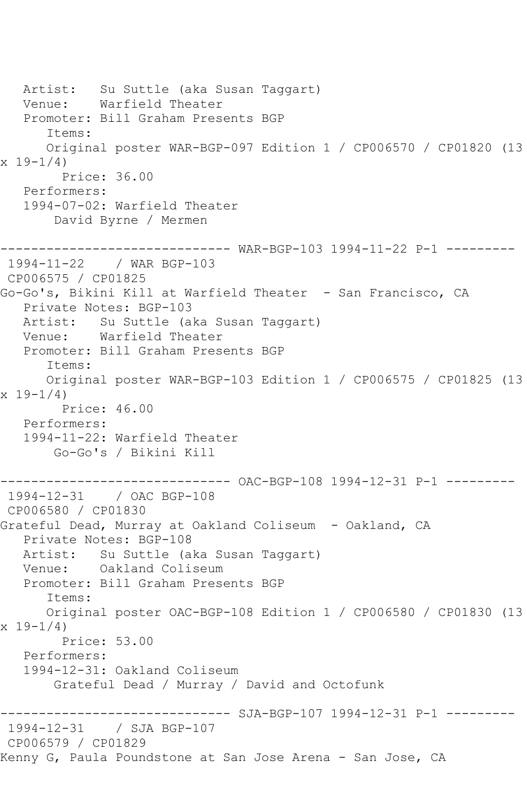Artist: Su Suttle (aka Susan Taggart)<br>Venue: Warfield Theater Warfield Theater Promoter: Bill Graham Presents BGP Items: Original poster WAR-BGP-097 Edition 1 / CP006570 / CP01820 (13  $x 19-1/4$  Price: 36.00 Performers: 1994-07-02: Warfield Theater David Byrne / Mermen ------------------------------ WAR-BGP-103 1994-11-22 P-1 --------- 1994-11-22 / WAR BGP-103 CP006575 / CP01825 Go-Go's, Bikini Kill at Warfield Theater - San Francisco, CA Private Notes: BGP-103 Artist: Su Suttle (aka Susan Taggart) Venue: Warfield Theater Promoter: Bill Graham Presents BGP Items: Original poster WAR-BGP-103 Edition 1 / CP006575 / CP01825 (13  $x 19 - 1/4$  Price: 46.00 Performers: 1994-11-22: Warfield Theater Go-Go's / Bikini Kill ------------------------------ OAC-BGP-108 1994-12-31 P-1 --------- 1994-12-31 / OAC BGP-108 CP006580 / CP01830 Grateful Dead, Murray at Oakland Coliseum - Oakland, CA Private Notes: BGP-108 Artist: Su Suttle (aka Susan Taggart)<br>Venue: Oakland Coliseum Oakland Coliseum Promoter: Bill Graham Presents BGP Items: Original poster OAC-BGP-108 Edition 1 / CP006580 / CP01830 (13  $x 19 - 1/4$  Price: 53.00 Performers: 1994-12-31: Oakland Coliseum Grateful Dead / Murray / David and Octofunk ------------------------------ SJA-BGP-107 1994-12-31 P-1 --------- 1994-12-31 / SJA BGP-107 CP006579 / CP01829 Kenny G, Paula Poundstone at San Jose Arena - San Jose, CA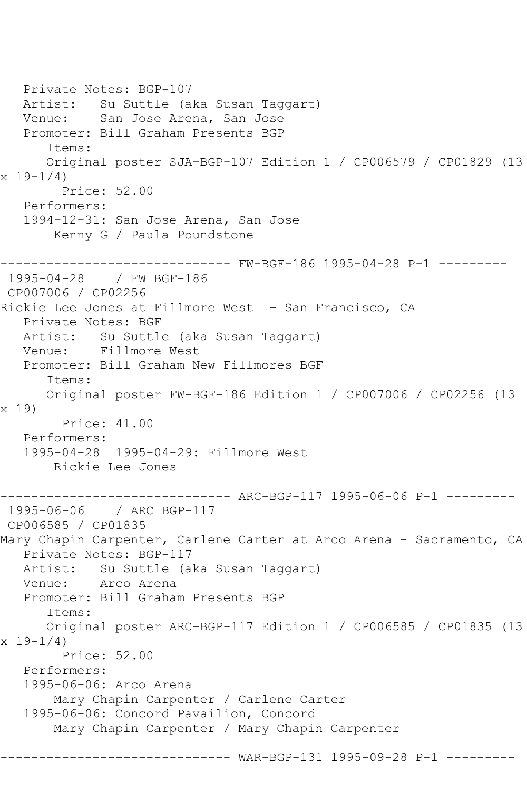```
 Private Notes: BGP-107
   Artist: Su Suttle (aka Susan Taggart)
   Venue: San Jose Arena, San Jose
   Promoter: Bill Graham Presents BGP
       Items:
       Original poster SJA-BGP-107 Edition 1 / CP006579 / CP01829 (13 
x 19-1/4 Price: 52.00
   Performers:
   1994-12-31: San Jose Arena, San Jose
        Kenny G / Paula Poundstone
------------------------------ FW-BGF-186 1995-04-28 P-1 ---------
1995-04-28 / FW BGF-186
CP007006 / CP02256
Rickie Lee Jones at Fillmore West - San Francisco, CA
   Private Notes: BGF
   Artist: Su Suttle (aka Susan Taggart)
   Venue: Fillmore West
   Promoter: Bill Graham New Fillmores BGF
       Items:
      Original poster FW-BGF-186 Edition 1 / CP007006 / CP02256 (13 
x 19)
         Price: 41.00
   Performers:
   1995-04-28 1995-04-29: Fillmore West
        Rickie Lee Jones
     ------------------------------ ARC-BGP-117 1995-06-06 P-1 ---------
1995-06-06 / ARC BGP-117
CP006585 / CP01835
Mary Chapin Carpenter, Carlene Carter at Arco Arena - Sacramento, CA
   Private Notes: BGP-117
   Artist: Su Suttle (aka Susan Taggart)
   Venue: Arco Arena
   Promoter: Bill Graham Presents BGP
       Items:
      Original poster ARC-BGP-117 Edition 1 / CP006585 / CP01835 (13 
x 19-1/4)
        Price: 52.00
   Performers:
   1995-06-06: Arco Arena
        Mary Chapin Carpenter / Carlene Carter
   1995-06-06: Concord Pavailion, Concord
        Mary Chapin Carpenter / Mary Chapin Carpenter
                     ------------------------------ WAR-BGP-131 1995-09-28 P-1 ---------
```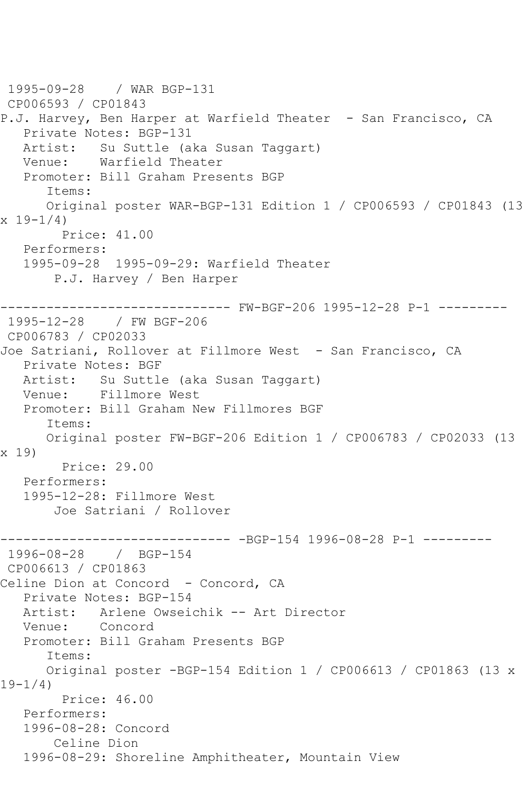1995-09-28 / WAR BGP-131 CP006593 / CP01843 P.J. Harvey, Ben Harper at Warfield Theater - San Francisco, CA Private Notes: BGP-131 Artist: Su Suttle (aka Susan Taggart) Venue: Warfield Theater Promoter: Bill Graham Presents BGP Items: Original poster WAR-BGP-131 Edition 1 / CP006593 / CP01843 (13 x 19-1/4) Price: 41.00 Performers: 1995-09-28 1995-09-29: Warfield Theater P.J. Harvey / Ben Harper ------------------------------ FW-BGF-206 1995-12-28 P-1 --------- 1995-12-28 / FW BGF-206 CP006783 / CP02033 Joe Satriani, Rollover at Fillmore West - San Francisco, CA Private Notes: BGF Artist: Su Suttle (aka Susan Taggart) Venue: Fillmore West Promoter: Bill Graham New Fillmores BGF Items: Original poster FW-BGF-206 Edition 1 / CP006783 / CP02033 (13 x 19) Price: 29.00 Performers: 1995-12-28: Fillmore West Joe Satriani / Rollover ------------------------------ -BGP-154 1996-08-28 P-1 --------- 1996-08-28 / BGP-154 CP006613 / CP01863 Celine Dion at Concord - Concord, CA Private Notes: BGP-154 Artist: Arlene Owseichik -- Art Director Venue: Concord Promoter: Bill Graham Presents BGP Items: Original poster -BGP-154 Edition 1 / CP006613 / CP01863 (13 x 19-1/4) Price: 46.00 Performers: 1996-08-28: Concord Celine Dion 1996-08-29: Shoreline Amphitheater, Mountain View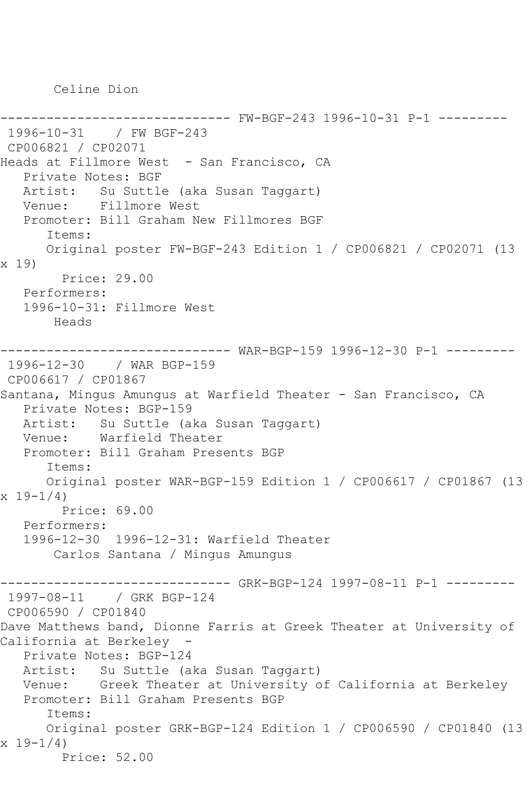Celine Dion

```
------------------------------ FW-BGF-243 1996-10-31 P-1 ---------
1996-10-31 / FW BGF-243
CP006821 / CP02071
Heads at Fillmore West - San Francisco, CA
   Private Notes: BGF
   Artist: Su Suttle (aka Susan Taggart)
   Venue: Fillmore West
   Promoter: Bill Graham New Fillmores BGF
       Items:
      Original poster FW-BGF-243 Edition 1 / CP006821 / CP02071 (13 
x 19)
        Price: 29.00
   Performers:
   1996-10-31: Fillmore West
       Heads
                     ------------------------------ WAR-BGP-159 1996-12-30 P-1 ---------
1996-12-30 / WAR BGP-159
CP006617 / CP01867
Santana, Mingus Amungus at Warfield Theater - San Francisco, CA
   Private Notes: BGP-159
   Artist: Su Suttle (aka Susan Taggart)
   Venue: Warfield Theater
   Promoter: Bill Graham Presents BGP
       Items:
      Original poster WAR-BGP-159 Edition 1 / CP006617 / CP01867 (13 
x 19 - 1/4 Price: 69.00
   Performers:
   1996-12-30 1996-12-31: Warfield Theater
        Carlos Santana / Mingus Amungus
                    ------------------------------ GRK-BGP-124 1997-08-11 P-1 ---------
1997-08-11 / GRK BGP-124
CP006590 / CP01840
Dave Matthews band, Dionne Farris at Greek Theater at University of 
California at Berkeley -
   Private Notes: BGP-124
   Artist: Su Suttle (aka Susan Taggart)
   Venue: Greek Theater at University of California at Berkeley
   Promoter: Bill Graham Presents BGP
       Items:
       Original poster GRK-BGP-124 Edition 1 / CP006590 / CP01840 (13 
x 19-1/4)
        Price: 52.00
```